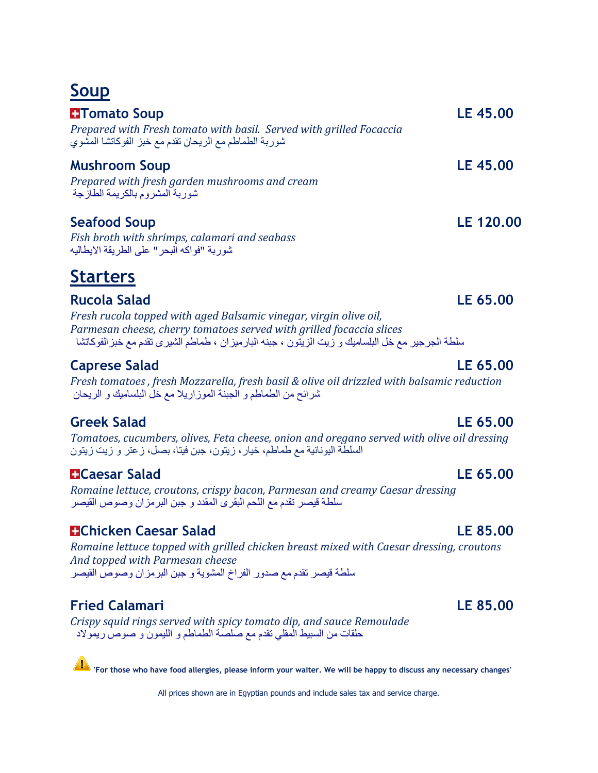## **Soup**

| <b>H</b> Tomato Soup<br>Prepared with Fresh tomato with basil. Served with grilled Focaccia<br>شوربة الطماطم مع الريحان تقدم مع خبز الفوكاتشا المشوي | LE 45,00         |
|------------------------------------------------------------------------------------------------------------------------------------------------------|------------------|
| <b>Mushroom Soup</b><br>Prepared with fresh garden mushrooms and cream<br>شور بــة المشر و م بـالكر بمـة الطـاز جـة                                  | <b>LE 45.00</b>  |
| <b>Seafood Soup</b><br>Eich broth with chrimns calamari and soabass                                                                                  | <b>LE 120.00</b> |

*Fish broth with shrimps, calamari and seabass* شوربة "فواكه البحر" على الطريقة االيطاليه

# **Starters**

**Rucola Salad LE 65.00**  *Fresh rucola topped with aged Balsamic vinegar, virgin olive oil, Parmesan cheese, cherry tomatoes served with grilled focaccia slices* سلطة الجرجير مع خل البلساميك و زيت الزيتون ، جبنه البارميزان ، طماطم الشيرى تقدم مع خبزالفوكاتشا

### **Caprese Salad LE 65.00**

*Fresh tomatoes , fresh Mozzarella, fresh basil & olive oil drizzled with balsamic reduction* شرائح من الطماطم و الجبنة الموزاريال مع خل البلساميك و الريحان

### **Greek Salad LE 65.00**

*Tomatoes, cucumbers, olives, Feta cheese, onion and oregano served with olive oil dressing*  السلطة اليونانية مع طماطم، خيار، زيتون، جبن فيتا، بصل، زعتر و زيت زيتون

### **Caesar Salad LE 65.00**

*Romaine lettuce, croutons, crispy bacon, Parmesan and creamy Caesar dressing*  سلطة قيصر تقدم مع اللحم البقرى المقدد و جبن البرمزان وصوص القيصر

### **Chicken Caesar Salad LE 85.00**

*Romaine lettuce topped with grilled chicken breast mixed with Caesar dressing, croutons And topped with Parmesan cheese* سلطة قيصر تقدم مع صدور الفراخ المشوية و جبن البرمزان وصوص القيصر

### **Fried Calamari LE 85.00**

*Crispy squid rings served with spicy tomato dip, and sauce Remoulade*  حلقات من السبيط المقلي تقدم مع صلصة الطماطم و الليمون و صوص ريموالد

**'For those who have food allergies, please inform your waiter. We will be happy to discuss any necessary changes'**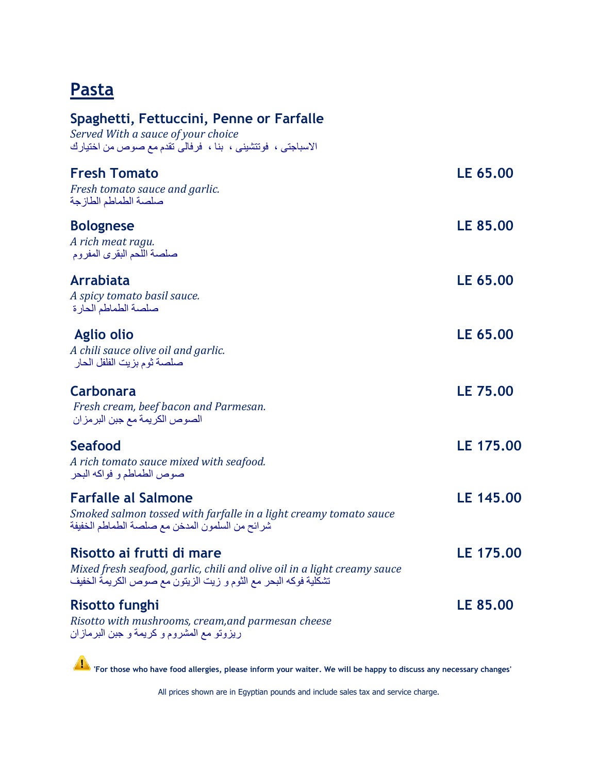## **Pasta**

| Spaghetti, Fettuccini, Penne or Farfalle<br>Served With a sauce of your choice<br>الاسباجتي ، فونتشيني ، بنا ، فرفالي نقدم مع صوص من اختيارك                            |                 |
|-------------------------------------------------------------------------------------------------------------------------------------------------------------------------|-----------------|
| <b>Fresh Tomato</b><br>Fresh tomato sauce and garlic.<br>صلصة الطماطم الطازجة                                                                                           | LE 65.00        |
| <b>Bolognese</b><br>A rich meat ragu.<br>صلصة اللحم البقرى المفروم                                                                                                      | <b>LE 85.00</b> |
| Arrabiata<br>A spicy tomato basil sauce.<br>صلصة الطماطم الحارة                                                                                                         | LE 65.00        |
| <b>Aglio olio</b><br>A chili sauce olive oil and garlic.<br>صلصة ثوم بزيت الفلفل الحار                                                                                  | LE 65.00        |
| Carbonara<br>Fresh cream, beef bacon and Parmesan.<br>الصوص الكريمة مع جبن البر مز ان                                                                                   | <b>LE 75.00</b> |
| Seafood<br>A rich tomato sauce mixed with seafood.<br>صوص الطماطم و فواكه البحر                                                                                         | LE 175.00       |
| <b>Farfalle al Salmone</b><br>Smoked salmon tossed with farfalle in a light creamy tomato sauce<br>شرائح من السلمون المدخن مع صلصة الطماطم الخفيفة                      | LE 145.00       |
| Risotto ai frutti di mare<br>Mixed fresh seafood, garlic, chili and olive oil in a light creamy sauce<br>تشكلية فوكه البحر مع الثوم و زيت الزيتون مع صوص الكريمة الخفيف | LE 175.00       |
| <b>Risotto funghi</b><br>Risotto with mushrooms, cream, and parmesan cheese<br>ريزوتو مع المشروم و كريمة و جبن البرمازان                                                | LE 85.00        |

**'For those who have food allergies, please inform your waiter. We will be happy to discuss any necessary changes'**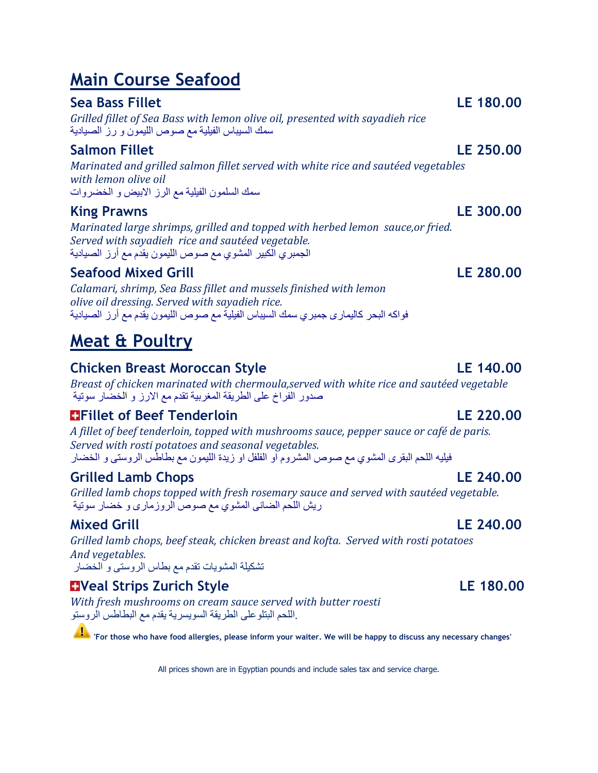# **Main Course Seafood**

### **Sea Bass Fillet LE 180.00**

*Grilled fillet of Sea Bass with lemon olive oil, presented with sayadieh rice* سمك السيباس الفيلية مع صوص الليمون و رز الصيادية

### **Salmon Fillet LE 250.00**

*Marinated and grilled salmon fillet served with white rice and sautéed vegetables with lemon olive oil* سمك السلمون الفيلية مع الرز االبيض و الخضروات

### **King Prawns LE 300.00**

*Marinated large shrimps, grilled and topped with herbed lemon sauce,or fried. Served with sayadieh rice and sautéed vegetable.* الجمبري الكبير المشوي مع صوص الليمون يقدم مع أرز الصيادية

### **Seafood Mixed Grill LE 280.00**

*Calamari, shrimp, Sea Bass fillet and mussels finished with lemon olive oil dressing. Served with sayadieh rice.* فواكه البحر كاليمارى جمبري سمك السيباس الفيلية مع صوص الليمون يقدم مع أرز الصيادية

# **Meat & Poultry**

### **Chicken Breast Moroccan Style LE 140.00**

*Breast of chicken marinated with chermoula,served with white rice and sautéed vegetable* صدور الفراخ على الطريقة المغربية تقدم مع االرز و الخضار سوتية

### **Fillet of Beef Tenderloin LE 220.00**

*A fillet of beef tenderloin, topped with mushrooms sauce, pepper sauce or café de paris. Served with rosti potatoes and seasonal vegetables.* فيليه اللحم البقرى المشوي مع صوص المشروم او الفلفل او زيدة الليمون مع بطاطس الروستى و الخضار

### **Grilled Lamb Chops LE 240.00**

*Grilled lamb chops topped with fresh rosemary sauce and served with sautéed vegetable.* ريش اللحم الضانى المشوي مع صوص الروزمارى و خضار سوتية

### **Mixed Grill LE 240.00**

*Grilled lamb chops, beef steak, chicken breast and kofta. Served with rosti potatoes And vegetables.* تشكيلة المشويات تقدم مع بطاس الروستى و الخضار

## **Latter Strips Zurich Style LE 180.00**

*With fresh mushrooms on cream sauce served with butter roesti* .اللحم البتلوعلى الطريقة السويسرية يقدم مع البطاطس الروستو

**'For those who have food allergies, please inform your waiter. We will be happy to discuss any necessary changes'**